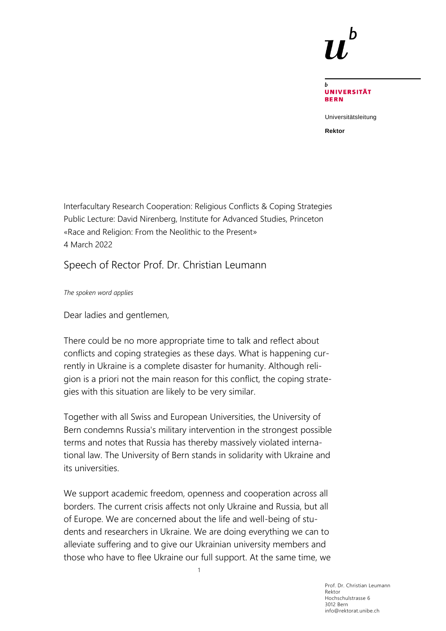

**UNIVERSITÄT BERN** 

Universitätsleitung

**Rektor**

Interfacultary Research Cooperation: Religious Conflicts & Coping Strategies Public Lecture: David Nirenberg, Institute for Advanced Studies, Princeton «Race and Religion: From the Neolithic to the Present» 4 March 2022

Speech of Rector Prof. Dr. Christian Leumann

*The spoken word applies*

Dear ladies and gentlemen,

There could be no more appropriate time to talk and reflect about conflicts and coping strategies as these days. What is happening currently in Ukraine is a complete disaster for humanity. Although religion is a priori not the main reason for this conflict, the coping strategies with this situation are likely to be very similar.

Together with all Swiss and European Universities, the University of Bern condemns Russia's military intervention in the strongest possible terms and notes that Russia has thereby massively violated international law. The University of Bern stands in solidarity with Ukraine and its universities.

We support academic freedom, openness and cooperation across all borders. The current crisis affects not only Ukraine and Russia, but all of Europe. We are concerned about the life and well-being of students and researchers in Ukraine. We are doing everything we can to alleviate suffering and to give our Ukrainian university members and those who have to flee Ukraine our full support. At the same time, we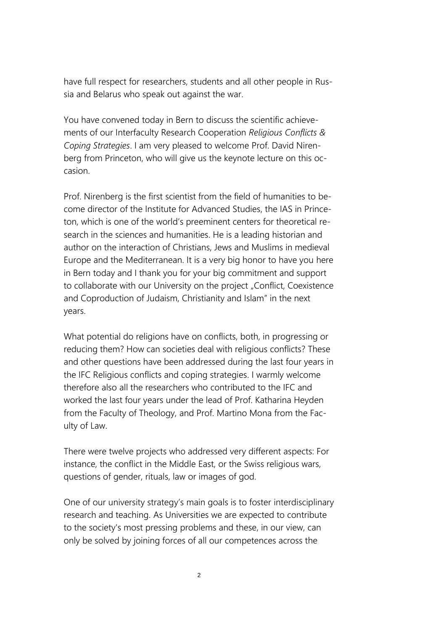have full respect for researchers, students and all other people in Russia and Belarus who speak out against the war.

You have convened today in Bern to discuss the scientific achievements of our Interfaculty Research Cooperation *Religious Conflicts & Coping Strategies*. I am very pleased to welcome Prof. David Nirenberg from Princeton, who will give us the keynote lecture on this occasion.

Prof. Nirenberg is the first scientist from the field of humanities to become director of the Institute for Advanced Studies, the IAS in Princeton, which is one of the world's preeminent centers for theoretical research in the sciences and humanities. He is a leading historian and author on the interaction of Christians, Jews and Muslims in medieval Europe and the Mediterranean. It is a very big honor to have you here in Bern today and I thank you for your big commitment and support to collaborate with our University on the project "Conflict, Coexistence and Coproduction of Judaism, Christianity and Islam" in the next years.

What potential do religions have on conflicts, both, in progressing or reducing them? How can societies deal with religious conflicts? These and other questions have been addressed during the last four years in the IFC Religious conflicts and coping strategies. I warmly welcome therefore also all the researchers who contributed to the IFC and worked the last four years under the lead of Prof. Katharina Heyden from the Faculty of Theology, and Prof. Martino Mona from the Faculty of Law.

There were twelve projects who addressed very different aspects: For instance, the conflict in the Middle East, or the Swiss religious wars, questions of gender, rituals, law or images of god.

One of our university strategy's main goals is to foster interdisciplinary research and teaching. As Universities we are expected to contribute to the society's most pressing problems and these, in our view, can only be solved by joining forces of all our competences across the